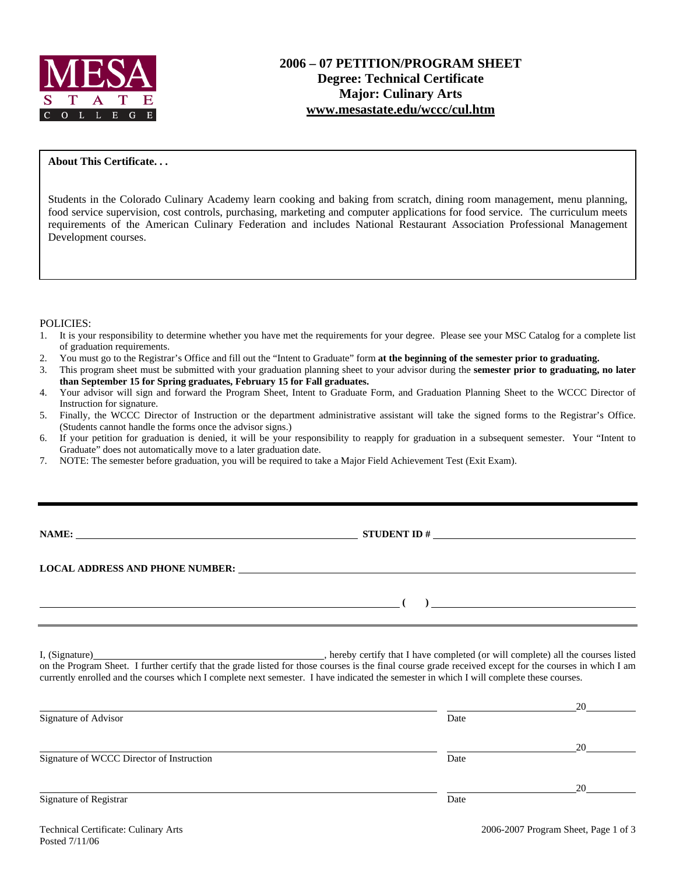

### **About This Certificate. . .**

Students in the Colorado Culinary Academy learn cooking and baking from scratch, dining room management, menu planning, food service supervision, cost controls, purchasing, marketing and computer applications for food service. The curriculum meets requirements of the American Culinary Federation and includes National Restaurant Association Professional Management Development courses.

#### POLICIES:

- 1. It is your responsibility to determine whether you have met the requirements for your degree. Please see your MSC Catalog for a complete list of graduation requirements.
- 2. You must go to the Registrar's Office and fill out the "Intent to Graduate" form **at the beginning of the semester prior to graduating.**
- 3. This program sheet must be submitted with your graduation planning sheet to your advisor during the **semester prior to graduating, no later than September 15 for Spring graduates, February 15 for Fall graduates.**
- 4. Your advisor will sign and forward the Program Sheet, Intent to Graduate Form, and Graduation Planning Sheet to the WCCC Director of Instruction for signature.
- 5. Finally, the WCCC Director of Instruction or the department administrative assistant will take the signed forms to the Registrar's Office. (Students cannot handle the forms once the advisor signs.)
- 6. If your petition for graduation is denied, it will be your responsibility to reapply for graduation in a subsequent semester. Your "Intent to Graduate" does not automatically move to a later graduation date.
- 7. NOTE: The semester before graduation, you will be required to take a Major Field Achievement Test (Exit Exam).

**NAMES IDENT ID #** 

**LOCAL ADDRESS AND PHONE NUMBER:**

 **( )** 

I, (Signature) , hereby certify that I have completed (or will complete) all the courses listed on the Program Sheet. I further certify that the grade listed for those courses is the final course grade received except for the courses in which I am currently enrolled and the courses which I complete next semester. I have indicated the semester in which I will complete these courses.

|                                           |      | 20 |
|-------------------------------------------|------|----|
| Signature of Advisor                      | Date |    |
|                                           |      | 20 |
| Signature of WCCC Director of Instruction | Date |    |
|                                           |      | 20 |
| Signature of Registrar                    | Date |    |
|                                           |      |    |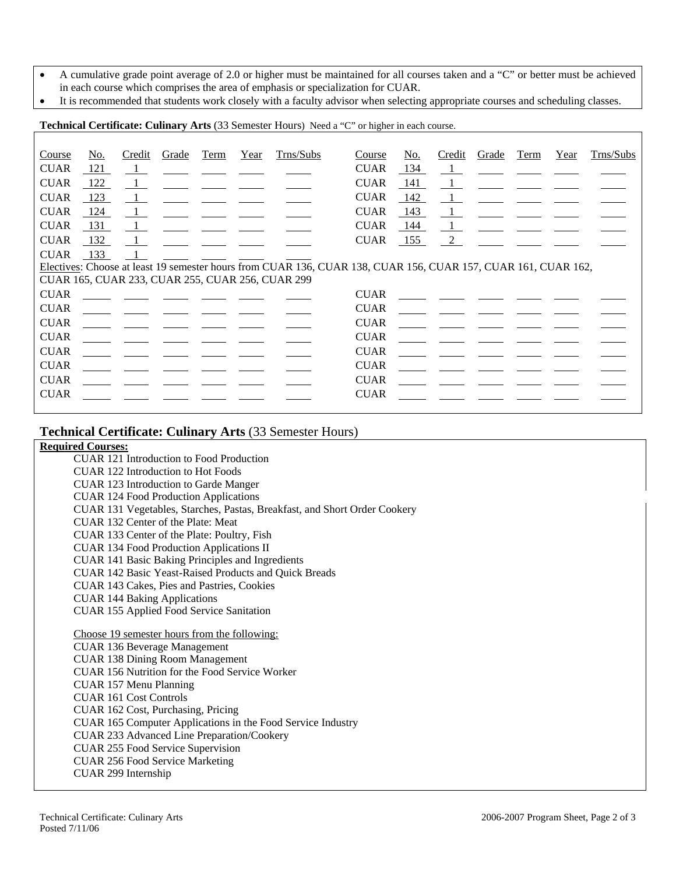- A cumulative grade point average of 2.0 or higher must be maintained for all courses taken and a "C" or better must be achieved in each course which comprises the area of emphasis or specialization for CUAR.
- It is recommended that students work closely with a faculty advisor when selecting appropriate courses and scheduling classes.

**Technical Certificate: Culinary Arts** (33 Semester Hours) Need a "C" or higher in each course.

| Course      | No. | Credit                                                                                 | Grade                                        | Term | Year | Trns/Subs                                        | Course                                                                                                        | No.    | Credit                                       | Grade | Term                                                       | Year | Trns/Subs |
|-------------|-----|----------------------------------------------------------------------------------------|----------------------------------------------|------|------|--------------------------------------------------|---------------------------------------------------------------------------------------------------------------|--------|----------------------------------------------|-------|------------------------------------------------------------|------|-----------|
| <b>CUAR</b> | 121 | $\blacksquare$                                                                         |                                              |      |      |                                                  | <b>CUAR</b>                                                                                                   | $-134$ | $\mathbf{1}$                                 |       |                                                            |      |           |
| <b>CUAR</b> | 122 | $\overline{1}$                                                                         |                                              |      |      |                                                  | <b>CUAR</b>                                                                                                   | -141   | $\blacksquare$                               |       |                                                            |      |           |
| <b>CUAR</b> | 123 | $\perp$                                                                                |                                              |      |      |                                                  | <b>CUAR</b>                                                                                                   | - 142  | $\frac{1}{2}$                                |       | <u> 1989 - Jan James James III, president populari pre</u> |      |           |
| <b>CUAR</b> | 124 | $\begin{array}{\begin{array}{\small \begin{array}{\small \end{array}}}} 1 \end{array}$ |                                              |      |      |                                                  | <b>CUAR</b>                                                                                                   | 143    | $\mathbf{1}$                                 |       |                                                            |      |           |
| <b>CUAR</b> | 131 | $\blacksquare$                                                                         |                                              |      |      |                                                  | <b>CUAR</b>                                                                                                   | 144    |                                              |       |                                                            |      |           |
| <b>CUAR</b> | 132 | $\mathbf{1}$                                                                           |                                              |      |      |                                                  | <b>CUAR</b>                                                                                                   | 155    | 2                                            |       |                                                            |      |           |
| <b>CUAR</b> | 133 |                                                                                        |                                              |      |      |                                                  |                                                                                                               |        |                                              |       |                                                            |      |           |
|             |     |                                                                                        |                                              |      |      |                                                  | Electives: Choose at least 19 semester hours from CUAR 136, CUAR 138, CUAR 156, CUAR 157, CUAR 161, CUAR 162, |        |                                              |       |                                                            |      |           |
|             |     |                                                                                        |                                              |      |      | CUAR 165, CUAR 233, CUAR 255, CUAR 256, CUAR 299 |                                                                                                               |        |                                              |       |                                                            |      |           |
| <b>CUAR</b> |     |                                                                                        |                                              |      |      |                                                  | <b>CUAR</b>                                                                                                   |        |                                              |       |                                                            |      |           |
| <b>CUAR</b> |     |                                                                                        |                                              |      |      |                                                  | <b>CUAR</b>                                                                                                   |        | <u> 1990 - Jan James James III (m. 1910)</u> |       |                                                            |      |           |
| <b>CUAR</b> |     |                                                                                        | <u> 1980 - Jan James James III (m. 1910)</u> |      |      |                                                  | <b>CUAR</b>                                                                                                   |        | <u> 1980 - Jan Barnett, fransk konge</u>     |       |                                                            |      |           |
| <b>CUAR</b> |     |                                                                                        |                                              |      |      |                                                  | <b>CUAR</b>                                                                                                   |        |                                              |       |                                                            |      |           |
| <b>CUAR</b> |     |                                                                                        |                                              |      |      |                                                  | <b>CUAR</b>                                                                                                   |        | <u> 1989 - Jan Barbara Barbara, man</u>      |       |                                                            |      |           |
| <b>CUAR</b> |     |                                                                                        |                                              |      |      |                                                  | <b>CUAR</b>                                                                                                   |        |                                              |       |                                                            |      |           |
| <b>CUAR</b> |     |                                                                                        |                                              |      |      |                                                  | <b>CUAR</b>                                                                                                   |        |                                              |       |                                                            |      |           |
| <b>CUAR</b> |     |                                                                                        |                                              |      |      |                                                  | <b>CUAR</b>                                                                                                   |        |                                              |       |                                                            |      |           |
|             |     |                                                                                        |                                              |      |      |                                                  |                                                                                                               |        |                                              |       |                                                            |      |           |

# **Technical Certificate: Culinary Arts** (33 Semester Hours)

## **Required Courses:**

CUAR 121 Introduction to Food Production CUAR 122 Introduction to Hot Foods CUAR 123 Introduction to Garde Manger CUAR 124 Food Production Applications CUAR 131 Vegetables, Starches, Pastas, Breakfast, and Short Order Cookery CUAR 132 Center of the Plate: Meat CUAR 133 Center of the Plate: Poultry, Fish CUAR 134 Food Production Applications II CUAR 141 Basic Baking Principles and Ingredients CUAR 142 Basic Yeast-Raised Products and Quick Breads CUAR 143 Cakes, Pies and Pastries, Cookies CUAR 144 Baking Applications CUAR 155 Applied Food Service Sanitation Choose 19 semester hours from the following: CUAR 136 Beverage Management CUAR 138 Dining Room Management CUAR 156 Nutrition for the Food Service Worker CUAR 157 Menu Planning CUAR 161 Cost Controls CUAR 162 Cost, Purchasing, Pricing CUAR 165 Computer Applications in the Food Service Industry CUAR 233 Advanced Line Preparation/Cookery CUAR 255 Food Service Supervision CUAR 256 Food Service Marketing CUAR 299 Internship